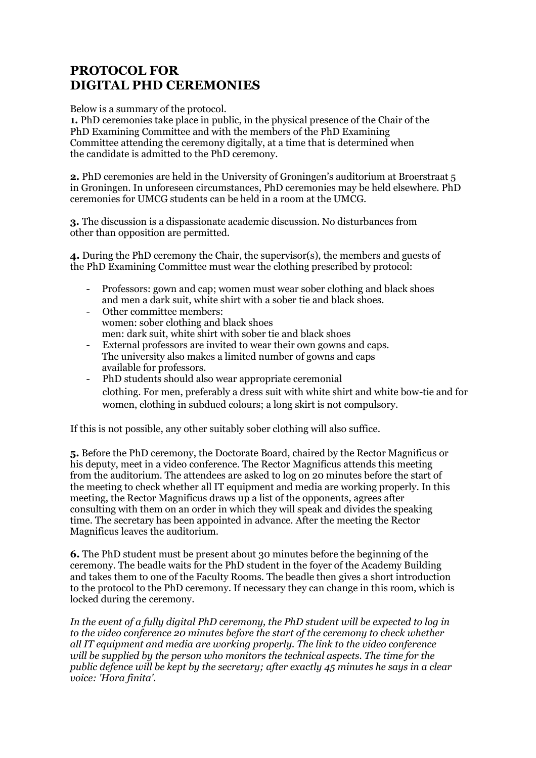## **PROTOCOL FOR DIGITAL PHD CEREMONIES**

Below is a summary of the protocol.

**1.** PhD ceremonies take place in public, in the physical presence of the Chair of the PhD Examining Committee and with the members of the PhD Examining Committee attending the ceremony digitally, at a time that is determined when the candidate is admitted to the PhD ceremony.

**2.** PhD ceremonies are held in the University of Groningen's auditorium at Broerstraat 5 in Groningen. In unforeseen circumstances, PhD ceremonies may be held elsewhere. PhD ceremonies for UMCG students can be held in a room at the UMCG.

**3.** The discussion is a dispassionate academic discussion. No disturbances from other than opposition are permitted.

**4.** During the PhD ceremony the Chair, the supervisor(s), the members and guests of the PhD Examining Committee must wear the clothing prescribed by protocol:

- Professors: gown and cap; women must wear sober clothing and black shoes and men a dark suit, white shirt with a sober tie and black shoes.
- Other committee members: women: sober clothing and black shoes men: dark suit, white shirt with sober tie and black shoes
- External professors are invited to wear their own gowns and caps. The university also makes a limited number of gowns and caps available for professors.
- PhD students should also wear appropriate ceremonial clothing. For men, preferably a dress suit with white shirt and white bow-tie and for women, clothing in subdued colours; a long skirt is not compulsory.

If this is not possible, any other suitably sober clothing will also suffice.

**5.** Before the PhD ceremony, the Doctorate Board, chaired by the Rector Magnificus or his deputy, meet in a video conference. The Rector Magnificus attends this meeting from the auditorium. The attendees are asked to log on 20 minutes before the start of the meeting to check whether all IT equipment and media are working properly. In this meeting, the Rector Magnificus draws up a list of the opponents, agrees after consulting with them on an order in which they will speak and divides the speaking time. The secretary has been appointed in advance. After the meeting the Rector Magnificus leaves the auditorium.

**6.** The PhD student must be present about 30 minutes before the beginning of the ceremony. The beadle waits for the PhD student in the foyer of the Academy Building and takes them to one of the Faculty Rooms. The beadle then gives a short introduction to the protocol to the PhD ceremony. If necessary they can change in this room, which is locked during the ceremony.

*In the event of a fully digital PhD ceremony, the PhD student will be expected to log in to the video conference 20 minutes before the start of the ceremony to check whether all IT equipment and media are working properly. The link to the video conference will be supplied by the person who monitors the technical aspects. The time for the public defence will be kept by the secretary; after exactly 45 minutes he says in a clear voice: 'Hora finita'.*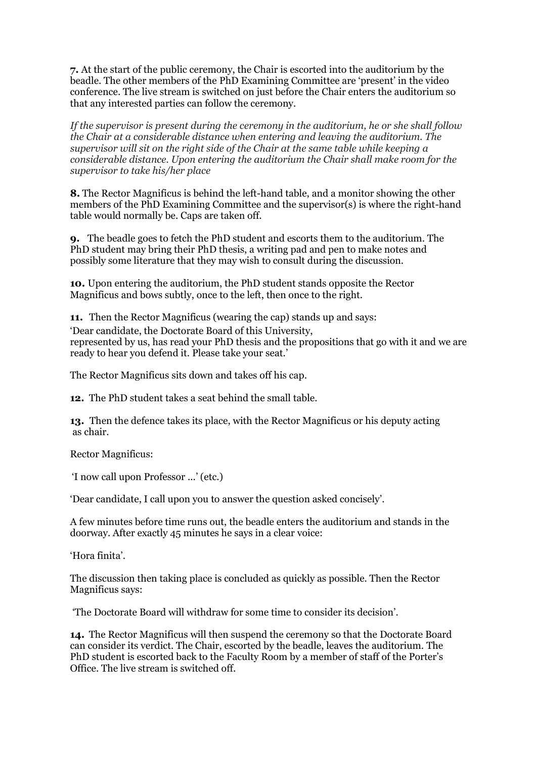**7.** At the start of the public ceremony, the Chair is escorted into the auditorium by the beadle. The other members of the PhD Examining Committee are 'present' in the video conference. The live stream is switched on just before the Chair enters the auditorium so that any interested parties can follow the ceremony.

*If the supervisor is present during the ceremony in the auditorium, he or she shall follow the Chair at a considerable distance when entering and leaving the auditorium. The supervisor will sit on the right side of the Chair at the same table while keeping a considerable distance. Upon entering the auditorium the Chair shall make room for the supervisor to take his/her place*

**8.** The Rector Magnificus is behind the left-hand table, and a monitor showing the other members of the PhD Examining Committee and the supervisor(s) is where the right-hand table would normally be. Caps are taken off.

**9.** The beadle goes to fetch the PhD student and escorts them to the auditorium. The PhD student may bring their PhD thesis, a writing pad and pen to make notes and possibly some literature that they may wish to consult during the discussion.

**10.** Upon entering the auditorium, the PhD student stands opposite the Rector Magnificus and bows subtly, once to the left, then once to the right.

**11.** Then the Rector Magnificus (wearing the cap) stands up and says:

'Dear candidate, the Doctorate Board of this University, represented by us, has read your PhD thesis and the propositions that go with it and we are ready to hear you defend it. Please take your seat.'

The Rector Magnificus sits down and takes off his cap.

**12.** The PhD student takes a seat behind the small table.

**13.** Then the defence takes its place, with the Rector Magnificus or his deputy acting as chair.

Rector Magnificus:

'I now call upon Professor ...' (etc.)

'Dear candidate, I call upon you to answer the question asked concisely'.

A few minutes before time runs out, the beadle enters the auditorium and stands in the doorway. After exactly 45 minutes he says in a clear voice:

'Hora finita'.

The discussion then taking place is concluded as quickly as possible. Then the Rector Magnificus says:

'The Doctorate Board will withdraw for some time to consider its decision'.

**14.** The Rector Magnificus will then suspend the ceremony so that the Doctorate Board can consider its verdict. The Chair, escorted by the beadle, leaves the auditorium. The PhD student is escorted back to the Faculty Room by a member of staff of the Porter's Office. The live stream is switched off.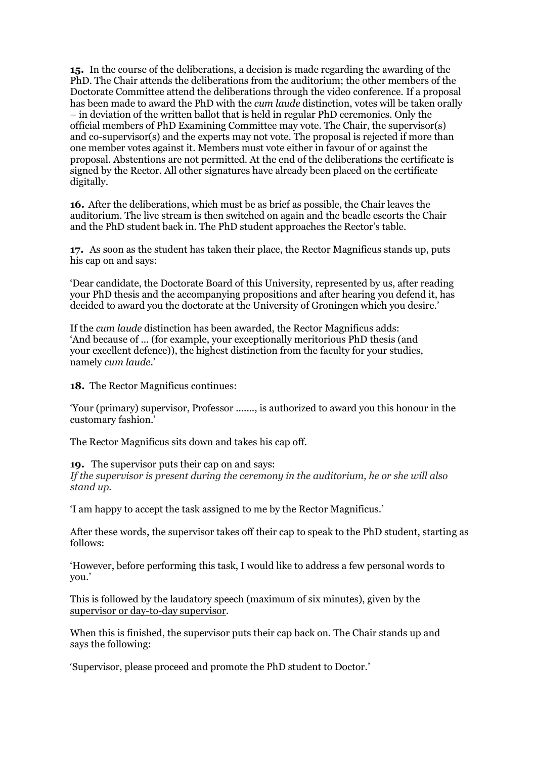**15.** In the course of the deliberations, a decision is made regarding the awarding of the PhD. The Chair attends the deliberations from the auditorium; the other members of the Doctorate Committee attend the deliberations through the video conference. If a proposal has been made to award the PhD with the *cum laude* distinction, votes will be taken orally – in deviation of the written ballot that is held in regular PhD ceremonies. Only the official members of PhD Examining Committee may vote. The Chair, the supervisor(s) and co-supervisor(s) and the experts may not vote. The proposal is rejected if more than one member votes against it. Members must vote either in favour of or against the proposal. Abstentions are not permitted. At the end of the deliberations the certificate is signed by the Rector. All other signatures have already been placed on the certificate digitally.

**16.** After the deliberations, which must be as brief as possible, the Chair leaves the auditorium. The live stream is then switched on again and the beadle escorts the Chair and the PhD student back in. The PhD student approaches the Rector's table.

**17.** As soon as the student has taken their place, the Rector Magnificus stands up, puts his cap on and says:

'Dear candidate, the Doctorate Board of this University, represented by us, after reading your PhD thesis and the accompanying propositions and after hearing you defend it, has decided to award you the doctorate at the University of Groningen which you desire.'

If the *cum laude* distinction has been awarded, the Rector Magnificus adds: 'And because of ... (for example, your exceptionally meritorious PhD thesis (and your excellent defence)), the highest distinction from the faculty for your studies, namely *cum laude*.'

**18.** The Rector Magnificus continues:

'Your (primary) supervisor, Professor ......., is authorized to award you this honour in the customary fashion.'

The Rector Magnificus sits down and takes his cap off.

**19.** The supervisor puts their cap on and says:

*If the supervisor is present during the ceremony in the auditorium, he or she will also stand up.*

'I am happy to accept the task assigned to me by the Rector Magnificus.'

After these words, the supervisor takes off their cap to speak to the PhD student, starting as follows:

'However, before performing this task, I would like to address a few personal words to you.'

This is followed by the laudatory speech (maximum of six minutes), given by the supervisor or day-to-day supervisor.

When this is finished, the supervisor puts their cap back on. The Chair stands up and says the following:

'Supervisor, please proceed and promote the PhD student to Doctor.'